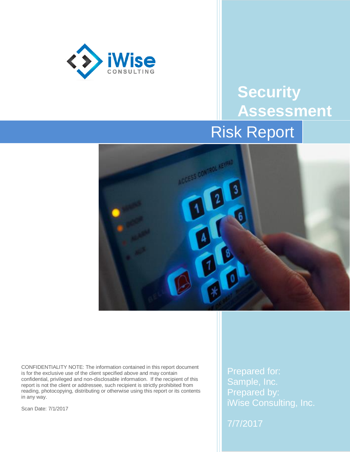

# **Security Assessment** Risk Report



CONFIDENTIALITY NOTE: The information contained in this report document is for the exclusive use of the client specified above and may contain confidential, privileged and non-disclosable information. If the recipient of this report is not the client or addressee, such recipient is strictly prohibited from reading, photocopying, distributing or otherwise using this report or its contents in any way.

Scan Date: 7/1/2017

Prepared for: Sample, Inc. Prepared by: iWise Consulting, Inc.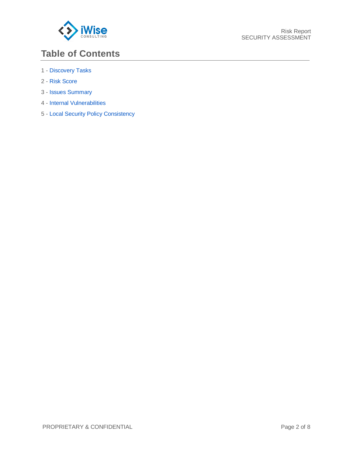

### **Table of Contents**

- 1 [Discovery Tasks](#page-2-0)
- 2 [Risk Score](#page-3-0)
- 3 [Issues Summary](#page-4-0)
- 4 [Internal Vulnerabilities](#page-6-0)
- 5 [Local Security Policy Consistency](#page-6-1)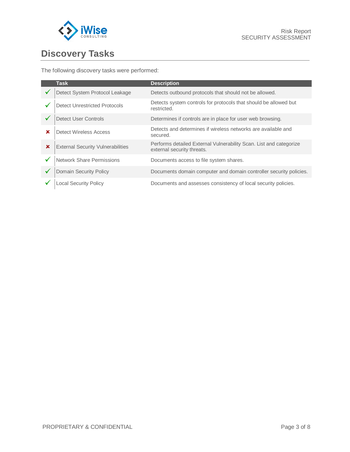

## <span id="page-2-0"></span>**Discovery Tasks**

The following discovery tasks were performed:

|                           | <b>Task</b>                              | <b>Description</b>                                                                               |
|---------------------------|------------------------------------------|--------------------------------------------------------------------------------------------------|
|                           | Detect System Protocol Leakage           | Detects outbound protocols that should not be allowed.                                           |
|                           | <b>Detect Unrestricted Protocols</b>     | Detects system controls for protocols that should be allowed but<br>restricted.                  |
|                           | <b>Detect User Controls</b>              | Determines if controls are in place for user web browsing.                                       |
| ×                         | Detect Wireless Access                   | Detects and determines if wireless networks are available and<br>secured.                        |
| $\boldsymbol{\mathsf{x}}$ | <b>External Security Vulnerabilities</b> | Performs detailed External Vulnerability Scan. List and categorize<br>external security threats. |
|                           | <b>Network Share Permissions</b>         | Documents access to file system shares.                                                          |
|                           | <b>Domain Security Policy</b>            | Documents domain computer and domain controller security policies.                               |
|                           | <b>Local Security Policy</b>             | Documents and assesses consistency of local security policies.                                   |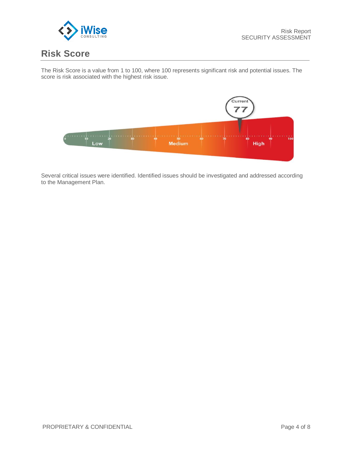

#### <span id="page-3-0"></span>**Risk Score**

The Risk Score is a value from 1 to 100, where 100 represents significant risk and potential issues. The score is risk associated with the highest risk issue.



Several critical issues were identified. Identified issues should be investigated and addressed according to the Management Plan.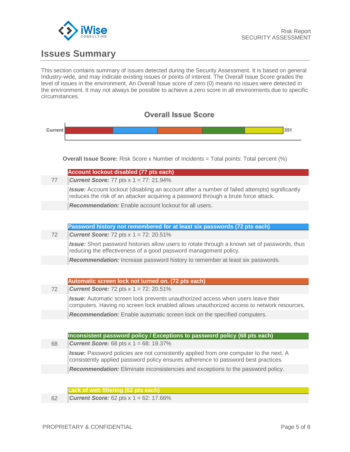

### <span id="page-4-0"></span>**Issues Summary**

This section contains summary of issues detected during the Security Assessment. It is based on general Industry-wide, and may indicate existing issues or points of interest. The Overall Issue Score grades the level of issues in the environment. An Overall Issue score of zero (0) means no issues were detected in the environment. It may not always be possible to achieve a zero score in all environments due to specific circumstances.

| <b>Overall Issue Score</b> |                                                                                                                                                                                     |  |  |
|----------------------------|-------------------------------------------------------------------------------------------------------------------------------------------------------------------------------------|--|--|
| Current                    | 351                                                                                                                                                                                 |  |  |
|                            |                                                                                                                                                                                     |  |  |
|                            |                                                                                                                                                                                     |  |  |
|                            | <b>Overall Issue Score:</b> Risk Score x Number of Incidents = Total points: Total percent (%)                                                                                      |  |  |
|                            | Account lockout disabled (77 pts each)                                                                                                                                              |  |  |
| 77                         | <b>Current Score:</b> 77 pts $x$ 1 = 77: 21.94%                                                                                                                                     |  |  |
|                            | Issue: Account lockout (disabling an account after a number of failed attempts) significantly<br>reduces the risk of an attacker acquiring a password through a brute force attack. |  |  |
|                            | <b>Recommendation:</b> Enable account lockout for all users.                                                                                                                        |  |  |
|                            |                                                                                                                                                                                     |  |  |
|                            | Password history not remembered for at least six passwords (72 pts each)                                                                                                            |  |  |
| 72                         | <b>Current Score:</b> 72 pts $x$ 1 = 72: 20.51%                                                                                                                                     |  |  |
|                            | Issue: Short password histories allow users to rotate through a known set of passwords, thus<br>reducing the effectiveness of a good password management policy.                    |  |  |
|                            | Recommendation: Increase password history to remember at least six passwords.                                                                                                       |  |  |
|                            |                                                                                                                                                                                     |  |  |
|                            | Automatic screen lock not turned on. (72 pts each)                                                                                                                                  |  |  |
| 72                         | <b>Current Score:</b> 72 pts $x$ 1 = 72: 20.51%                                                                                                                                     |  |  |
|                            | Issue: Automatic screen lock prevents unauthorized access when users leave their                                                                                                    |  |  |
|                            | computers. Having no screen lock enabled allows unauthorized access to network resources.                                                                                           |  |  |
|                            | Recommendation: Enable automatic screen lock on the specified computers.                                                                                                            |  |  |
|                            |                                                                                                                                                                                     |  |  |
|                            | Inconsistent password policy / Exceptions to password policy (68 pts each)                                                                                                          |  |  |
| 68                         | <b>Current Score:</b> 68 pts $x$ 1 = 68: 19.37%                                                                                                                                     |  |  |
|                            | Issue: Password policies are not consistently applied from one computer to the next. A<br>consistently applied password policy ensures adherence to password best practices.        |  |  |
|                            | Recommendation: Eliminate inconsistencies and exceptions to the password policy.                                                                                                    |  |  |
|                            |                                                                                                                                                                                     |  |  |
|                            | ack of web filtering (62 pts each)                                                                                                                                                  |  |  |
| 62                         | <b>Current Score:</b> 62 pts $x$ 1 = 62: 17.66%                                                                                                                                     |  |  |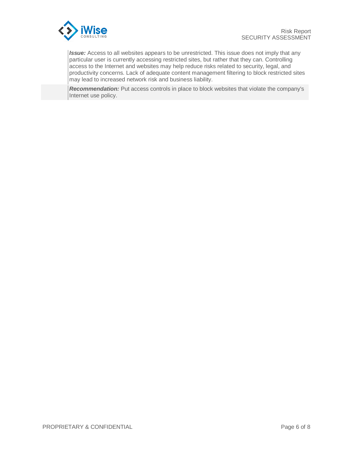

*Issue:* Access to all websites appears to be unrestricted. This issue does not imply that any particular user is currently accessing restricted sites, but rather that they can. Controlling access to the Internet and websites may help reduce risks related to security, legal, and productivity concerns. Lack of adequate content management filtering to block restricted sites may lead to increased network risk and business liability.

*Recommendation:* Put access controls in place to block websites that violate the company's Internet use policy.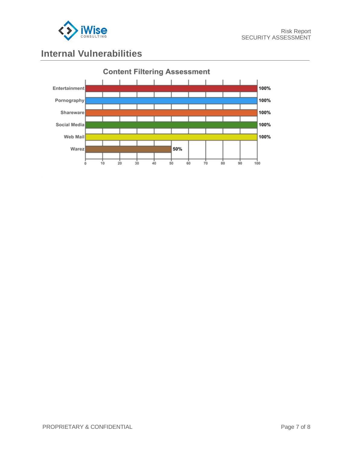

#### <span id="page-6-0"></span>**Internal Vulnerabilities**

<span id="page-6-1"></span>